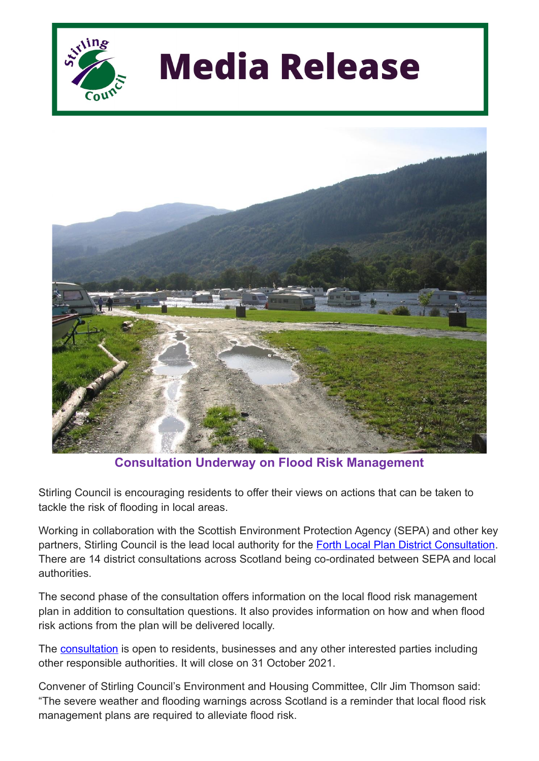

## **Media Release**



**Consultation Underway on Flood Risk Management**

Stirling Council is encouraging residents to offer their views on actions that can be taken to tackle the risk of flooding in local areas.

Working in collaboration with the Scottish Environment Protection Agency (SEPA) and other key partners, Stirling Council is the lead local authority for the Forth Local Plan District [Consultation](https://consultation.sepa.org.uk/evidence-and-flooding/flood-risk-management-plan-forth/). There are 14 district consultations across Scotland being co-ordinated between SEPA and local authorities.

The second phase of the consultation offers information on the local flood risk management plan in addition to consultation questions. It also provides information on how and when flood risk actions from the plan will be delivered locally.

The [consultation](https://consultation.sepa.org.uk/evidence-and-flooding/flood-risk-management-plan-forth/) is open to residents, businesses and any other interested parties including other responsible authorities. It will close on 31 October 2021.

Convener of Stirling Council's Environment and Housing Committee, Cllr Jim Thomson said: "The severe weather and flooding warnings across Scotland is a reminder that local flood risk management plans are required to alleviate flood risk.